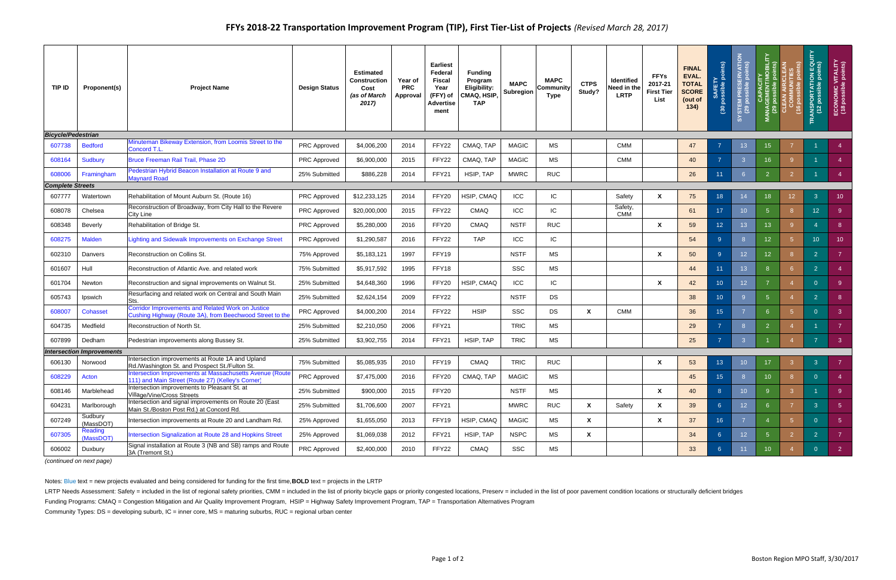| TIP ID                    | Proponent(s)             | <b>Project Name</b>                                                                                                  | <b>Design Status</b> | <b>Estimated</b><br><b>Construction</b><br>Cost<br>(as of March<br>2017) | Year of<br><b>PRC</b><br>Approval | <b>Earliest</b><br>Federal<br><b>Fiscal</b><br>Year<br>(FFY) of<br><b>Advertise</b><br>ment | <b>Funding</b><br>Program<br>Eligibility:<br>CMAQ, HSIP,<br><b>TAP</b> | <b>MAPC</b><br><b>Subregion</b> | <b>MAPC</b><br>Community<br>Type | <b>CTPS</b><br>Study? | <b>Identified</b><br>Need in the<br><b>LRTP</b> | <b>FFYs</b><br>2017-21<br><b>First Tier</b><br>List | <b>FINAL</b><br>EVAL.<br><b>TOTAL</b><br><b>SCORE</b><br>(out of<br>134) | points)<br>ssible<br>SAF<br>$\overline{6}$ | <b>SERVATION<br/>9 points)</b><br>SYSTEM PRESE<br>(29 possible | <b>ITY</b><br>MOBILITY<br>CAPACIT<br>MANAGEMENT/I<br>(29 possible <sub>I</sub> | nis)<br>(16)    | <b>TRANSPORTATION EQUITY<br/>(12 possible points)</b> | ECONOMIC VITALITY<br>(18 possible points) |
|---------------------------|--------------------------|----------------------------------------------------------------------------------------------------------------------|----------------------|--------------------------------------------------------------------------|-----------------------------------|---------------------------------------------------------------------------------------------|------------------------------------------------------------------------|---------------------------------|----------------------------------|-----------------------|-------------------------------------------------|-----------------------------------------------------|--------------------------------------------------------------------------|--------------------------------------------|----------------------------------------------------------------|--------------------------------------------------------------------------------|-----------------|-------------------------------------------------------|-------------------------------------------|
| <b>Bicycle/Pedestrian</b> |                          |                                                                                                                      |                      |                                                                          |                                   |                                                                                             |                                                                        |                                 |                                  |                       |                                                 |                                                     |                                                                          |                                            |                                                                |                                                                                |                 |                                                       |                                           |
| 607738                    | <b>Bedford</b>           | Minuteman Bikeway Extension, from Loomis Street to the<br>Concord T.L                                                | <b>PRC Approved</b>  | \$4,006,200                                                              | 2014                              | FFY22                                                                                       | CMAQ, TAP                                                              | <b>MAGIC</b>                    | <b>MS</b>                        |                       | <b>CMM</b>                                      |                                                     | 47                                                                       |                                            | 13 <sup>°</sup>                                                | 15 <sup>15</sup>                                                               |                 |                                                       |                                           |
| 608164                    | <b>Sudbury</b>           | Bruce Freeman Rail Trail, Phase 2D                                                                                   | <b>PRC Approved</b>  | \$6,900,000                                                              | 2015                              | FFY22                                                                                       | CMAQ, TAP                                                              | <b>MAGIC</b>                    | <b>MS</b>                        |                       | <b>CMM</b>                                      |                                                     | 40                                                                       |                                            | $\overline{3}$                                                 | 16 <sup>°</sup>                                                                | -9              |                                                       |                                           |
| 608006                    | Framingham               | Pedestrian Hybrid Beacon Installation at Route 9 and<br><b>Maynard Road</b>                                          | 25% Submitted        | \$886,228                                                                | 2014                              | FFY21                                                                                       | HSIP, TAP                                                              | <b>MWRC</b>                     | <b>RUC</b>                       |                       |                                                 |                                                     | 26                                                                       | 11                                         | -6                                                             | $\overline{2}$                                                                 | $\overline{2}$  |                                                       |                                           |
| <b>Complete Streets</b>   |                          |                                                                                                                      |                      |                                                                          |                                   |                                                                                             |                                                                        |                                 |                                  |                       |                                                 |                                                     |                                                                          |                                            |                                                                |                                                                                |                 |                                                       |                                           |
| 607777                    | Watertown                | Rehabilitation of Mount Auburn St. (Route 16)                                                                        | PRC Approved         | \$12,233,125                                                             | 2014                              | FFY20                                                                                       | HSIP, CMAQ                                                             | ICC                             | ${\sf IC}$                       |                       | Safety                                          | X                                                   | 75                                                                       | 18                                         | 14                                                             | 18                                                                             | 12 <sub>1</sub> | 3                                                     | 10 <sup>°</sup>                           |
| 608078                    | Chelsea                  | Reconstruction of Broadway, from City Hall to the Revere<br>City Line                                                | <b>PRC Approved</b>  | \$20,000,000                                                             | 2015                              | FFY22                                                                                       | <b>CMAQ</b>                                                            | ICC                             | IC                               |                       | Safety,<br><b>CMM</b>                           |                                                     | 61                                                                       | 17                                         | 10 <sup>°</sup>                                                | 5 <sup>5</sup>                                                                 | -8              | 12                                                    | -9                                        |
| 608348                    | Beverly                  | Rehabilitation of Bridge St.                                                                                         | <b>PRC Approved</b>  | \$5,280,000                                                              | 2016                              | FFY20                                                                                       | CMAQ                                                                   | <b>NSTF</b>                     | <b>RUC</b>                       |                       |                                                 | $\mathbf{x}$                                        | 59                                                                       | 12 <sub>2</sub>                            | 13 <sup>°</sup>                                                | 13 <sup>°</sup>                                                                | -9              |                                                       | 8                                         |
| 608275                    | <b>Malden</b>            | Lighting and Sidewalk Improvements on Exchange Street                                                                | <b>PRC Approved</b>  | \$1,290,587                                                              | 2016                              | FFY22                                                                                       | <b>TAP</b>                                                             | ICC                             | IC                               |                       |                                                 |                                                     | 54                                                                       | -9                                         |                                                                | 12 <sub>2</sub>                                                                | -5              | 10                                                    | 10 <sup>°</sup>                           |
| 602310                    | Danvers                  | Reconstruction on Collins St.                                                                                        | 75% Approved         | \$5,183,121                                                              | 1997                              | FFY19                                                                                       |                                                                        | <b>NSTF</b>                     | <b>MS</b>                        |                       |                                                 | X                                                   | 50                                                                       | 9                                          | 12 <sup>2</sup>                                                | 12 <sub>1</sub>                                                                | -8              | -2                                                    |                                           |
| 601607                    | Hull                     | Reconstruction of Atlantic Ave. and related work                                                                     | 75% Submitted        | \$5,917,592                                                              | 1995                              | FFY18                                                                                       |                                                                        | <b>SSC</b>                      | <b>MS</b>                        |                       |                                                 |                                                     | 44                                                                       | 11                                         | 13 <sup>°</sup>                                                | 8 <sup>°</sup>                                                                 |                 | $\overline{2}$                                        |                                           |
| 601704                    | Newton                   | Reconstruction and signal improvements on Walnut St.                                                                 | 25% Submitted        | \$4,648,360                                                              | 1996                              | FFY20                                                                                       | HSIP, CMAQ                                                             | ICC                             | IC                               |                       |                                                 | X                                                   | 42                                                                       | 10 <sup>°</sup>                            | 12 <sup>2</sup>                                                |                                                                                |                 | $\Omega$                                              | $9^{\circ}$                               |
| 605743                    | Ipswich                  | Resurfacing and related work on Central and South Main<br>Sts.                                                       | 25% Submitted        | \$2,624,154                                                              | 2009                              | FFY22                                                                                       |                                                                        | <b>NSTF</b>                     | DS                               |                       |                                                 |                                                     | 38                                                                       | 10 <sup>°</sup>                            | -9                                                             | 5 <sup>5</sup>                                                                 |                 | $\overline{2}$                                        | 8 <sup>°</sup>                            |
| 608007                    | <b>Cohasset</b>          | <b>Corridor Improvements and Related Work on Justice</b><br>Cushing Highway (Route 3A), from Beechwood Street to the | PRC Approved         | \$4,000,200                                                              | 2014                              | FFY22                                                                                       | <b>HSIP</b>                                                            | SSC                             | DS                               | X                     | <b>CMM</b>                                      |                                                     | 36                                                                       | 15 <sub>1</sub>                            |                                                                | 6                                                                              | -5              | $\Omega$                                              | $\mathbf{3}$                              |
| 604735                    | Medfield                 | Reconstruction of North St.                                                                                          | 25% Submitted        | \$2,210,050                                                              | 2006                              | FFY21                                                                                       |                                                                        | <b>TRIC</b>                     | <b>MS</b>                        |                       |                                                 |                                                     | 29                                                                       |                                            | -8                                                             | $\overline{2}$                                                                 |                 |                                                       |                                           |
| 607899                    | Dedham                   | Pedestrian improvements along Bussey St.                                                                             | 25% Submitted        | \$3,902,755                                                              | 2014                              | FFY21                                                                                       | HSIP, TAP                                                              | <b>TRIC</b>                     | MS                               |                       |                                                 |                                                     | 25                                                                       | $\overline{7}$                             | $\mathbf{3}$                                                   |                                                                                |                 |                                                       | $\mathbf{3}$                              |
|                           | ntersection Improvements |                                                                                                                      |                      |                                                                          |                                   |                                                                                             |                                                                        |                                 |                                  |                       |                                                 |                                                     |                                                                          |                                            |                                                                |                                                                                |                 |                                                       |                                           |
| 606130                    | Norwood                  | Intersection improvements at Route 1A and Upland<br>Rd./Washington St. and Prospect St./Fulton St                    | 75% Submitted        | \$5,085,935                                                              | 2010                              | FFY19                                                                                       | CMAQ                                                                   | <b>TRIC</b>                     | <b>RUC</b>                       |                       |                                                 | X                                                   | 53                                                                       | 13 <sup>°</sup>                            | 10 <sup>°</sup>                                                | 17                                                                             |                 |                                                       |                                           |
| 608229                    | Acton                    | Intersection Improvements at Massachusetts Avenue (Route<br>111) and Main Street (Route 27) (Kelley's Corner)        | <b>PRC Approved</b>  | \$7,475,000                                                              | 2016                              | FFY20                                                                                       | CMAQ, TAP                                                              | <b>MAGIC</b>                    | <b>MS</b>                        |                       |                                                 |                                                     | 45                                                                       | 15                                         | -8                                                             | 10 <sup>°</sup>                                                                | -8              | $\Omega$                                              |                                           |
| 608146                    | Marblehead               | Intersection improvements to Pleasant St. at<br>Village/Vine/Cross Streets                                           | 25% Submitted        | \$900,000                                                                | 2015                              | FFY20                                                                                       |                                                                        | <b>NSTF</b>                     | <b>MS</b>                        |                       |                                                 | X                                                   | 40                                                                       | 8                                          | 10 <sup>1</sup>                                                | 9                                                                              | 3 <sup>°</sup>  |                                                       | $9^{\circ}$                               |
| 604231                    | Marlborough              | Intersection and signal improvements on Route 20 (East<br>Main St./Boston Post Rd.) at Concord Rd.                   | 25% Submitted        | \$1,706,600                                                              | 2007                              | FFY21                                                                                       |                                                                        | <b>MWRC</b>                     | <b>RUC</b>                       | X                     | Safety                                          | X                                                   | 39                                                                       | $6\overline{6}$                            | 12 <sup>2</sup>                                                | $6^{\circ}$                                                                    | $\overline{7}$  | $\mathbf{3}$                                          | 5 <sup>5</sup>                            |
| 607249                    | Sudbury<br>(MassDOT)     | Intersection improvements at Route 20 and Landham Rd.                                                                | 25% Approved         | \$1,655,050                                                              | 2013                              | FFY19                                                                                       | HSIP, CMAQ                                                             | <b>MAGIC</b>                    | <b>MS</b>                        | $\pmb{\mathsf{X}}$    |                                                 | X                                                   | 37                                                                       | 16                                         |                                                                | $\overline{4}$                                                                 | 5 <sub>1</sub>  | $\overline{0}$                                        | 5 <sup>°</sup>                            |
| 607305                    | Reading<br>(MassDOT)     | Intersection Signalization at Route 28 and Hopkins Street                                                            | 25% Approved         | \$1,069,038                                                              | 2012                              | FFY21                                                                                       | HSIP, TAP                                                              | <b>NSPC</b>                     | <b>MS</b>                        | X                     |                                                 |                                                     | 34                                                                       | $6\overline{6}$                            | 12 <sup>7</sup>                                                | 5 <sup>5</sup>                                                                 | $\overline{2}$  | $\overline{2}$                                        | $\overline{7}$                            |
| 606002                    | Duxbury                  | Signal installation at Route 3 (NB and SB) ramps and Route<br>3A (Tremont St.)                                       | PRC Approved         | \$2,400,000                                                              | 2010                              | FFY22                                                                                       | CMAQ                                                                   | SSC                             | МS                               |                       |                                                 |                                                     | 33                                                                       | 6                                          | 11 <sub>1</sub>                                                | 10 <sup>°</sup>                                                                |                 | $\overline{0}$                                        | $2 -$                                     |

LRTP Needs Assessment: Safety = included in the list of regional safety priorities, CMM = included in the list of priority bicycle gaps or priority congested locations, Preserv = included in the list of poor pavement condi Funding Programs: CMAQ = Congestion Mitigation and Air Quality Improvement Program, HSIP = Highway Safety Improvement Program, TAP = Transportation Alternatives Program Community Types: DS = developing suburb, IC = inner core, MS = maturing suburbs, RUC = regional urban center

*(continued on next page)*

Notes: Blue text = new projects evaluated and being considered for funding for the first time, **BOLD** text = projects in the LRTP